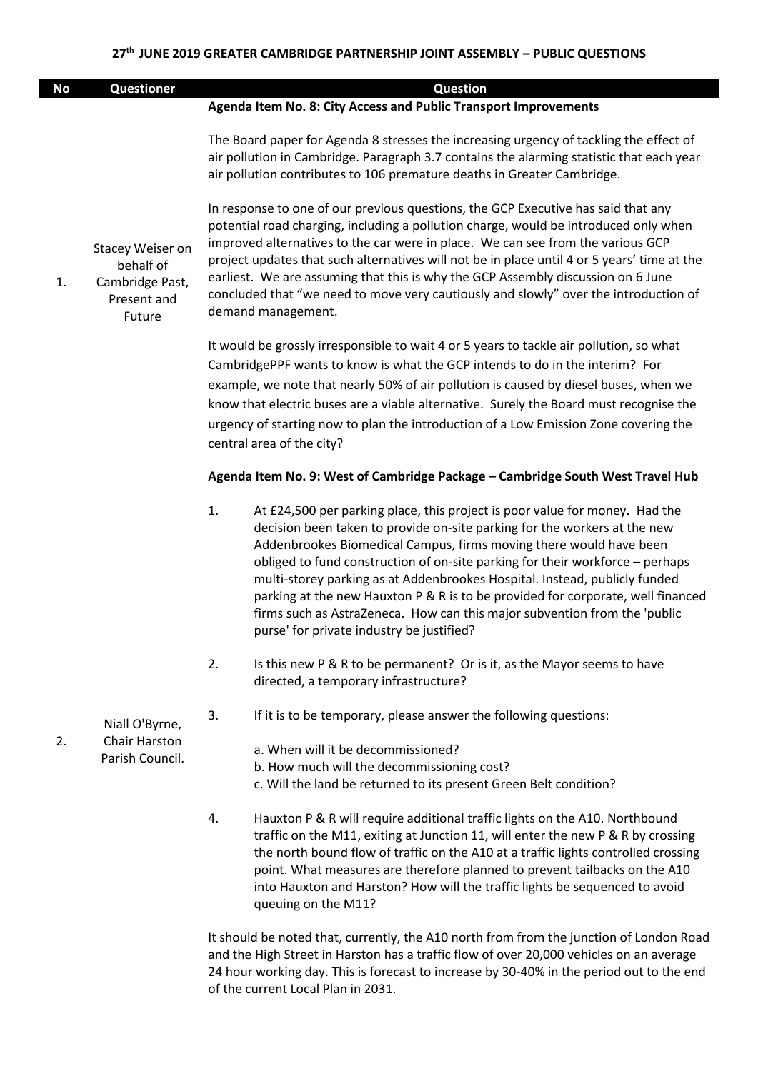## **27th JUNE 2019 GREATER CAMBRIDGE PARTNERSHIP JOINT ASSEMBLY – PUBLIC QUESTIONS**

| <b>No</b> | Questioner                                                                | <b>Question</b>                                                                                                                                                                                                                                                                                                                                                                                                                                                                                                                                                                                                                                                                                                                                                                                                                |
|-----------|---------------------------------------------------------------------------|--------------------------------------------------------------------------------------------------------------------------------------------------------------------------------------------------------------------------------------------------------------------------------------------------------------------------------------------------------------------------------------------------------------------------------------------------------------------------------------------------------------------------------------------------------------------------------------------------------------------------------------------------------------------------------------------------------------------------------------------------------------------------------------------------------------------------------|
|           |                                                                           | Agenda Item No. 8: City Access and Public Transport Improvements                                                                                                                                                                                                                                                                                                                                                                                                                                                                                                                                                                                                                                                                                                                                                               |
| 1.        | Stacey Weiser on<br>behalf of<br>Cambridge Past,<br>Present and<br>Future | The Board paper for Agenda 8 stresses the increasing urgency of tackling the effect of<br>air pollution in Cambridge. Paragraph 3.7 contains the alarming statistic that each year<br>air pollution contributes to 106 premature deaths in Greater Cambridge.<br>In response to one of our previous questions, the GCP Executive has said that any<br>potential road charging, including a pollution charge, would be introduced only when<br>improved alternatives to the car were in place. We can see from the various GCP<br>project updates that such alternatives will not be in place until 4 or 5 years' time at the<br>earliest. We are assuming that this is why the GCP Assembly discussion on 6 June<br>concluded that "we need to move very cautiously and slowly" over the introduction of<br>demand management. |
|           |                                                                           | It would be grossly irresponsible to wait 4 or 5 years to tackle air pollution, so what<br>CambridgePPF wants to know is what the GCP intends to do in the interim? For<br>example, we note that nearly 50% of air pollution is caused by diesel buses, when we<br>know that electric buses are a viable alternative. Surely the Board must recognise the<br>urgency of starting now to plan the introduction of a Low Emission Zone covering the<br>central area of the city?                                                                                                                                                                                                                                                                                                                                                 |
|           | Niall O'Byrne,<br>Chair Harston<br>Parish Council.                        | Agenda Item No. 9: West of Cambridge Package - Cambridge South West Travel Hub                                                                                                                                                                                                                                                                                                                                                                                                                                                                                                                                                                                                                                                                                                                                                 |
|           |                                                                           | At £24,500 per parking place, this project is poor value for money. Had the<br>1.<br>decision been taken to provide on-site parking for the workers at the new<br>Addenbrookes Biomedical Campus, firms moving there would have been<br>obliged to fund construction of on-site parking for their workforce - perhaps<br>multi-storey parking as at Addenbrookes Hospital. Instead, publicly funded<br>parking at the new Hauxton P & R is to be provided for corporate, well financed<br>firms such as AstraZeneca. How can this major subvention from the 'public<br>purse' for private industry be justified?                                                                                                                                                                                                               |
|           |                                                                           | 2.<br>Is this new P & R to be permanent? Or is it, as the Mayor seems to have<br>directed, a temporary infrastructure?                                                                                                                                                                                                                                                                                                                                                                                                                                                                                                                                                                                                                                                                                                         |
|           |                                                                           | 3.<br>If it is to be temporary, please answer the following questions:                                                                                                                                                                                                                                                                                                                                                                                                                                                                                                                                                                                                                                                                                                                                                         |
| 2.        |                                                                           | a. When will it be decommissioned?<br>b. How much will the decommissioning cost?<br>c. Will the land be returned to its present Green Belt condition?                                                                                                                                                                                                                                                                                                                                                                                                                                                                                                                                                                                                                                                                          |
|           |                                                                           | Hauxton P & R will require additional traffic lights on the A10. Northbound<br>4.<br>traffic on the M11, exiting at Junction 11, will enter the new P & R by crossing<br>the north bound flow of traffic on the A10 at a traffic lights controlled crossing<br>point. What measures are therefore planned to prevent tailbacks on the A10<br>into Hauxton and Harston? How will the traffic lights be sequenced to avoid<br>queuing on the M11?                                                                                                                                                                                                                                                                                                                                                                                |
|           |                                                                           | It should be noted that, currently, the A10 north from from the junction of London Road<br>and the High Street in Harston has a traffic flow of over 20,000 vehicles on an average<br>24 hour working day. This is forecast to increase by 30-40% in the period out to the end<br>of the current Local Plan in 2031.                                                                                                                                                                                                                                                                                                                                                                                                                                                                                                           |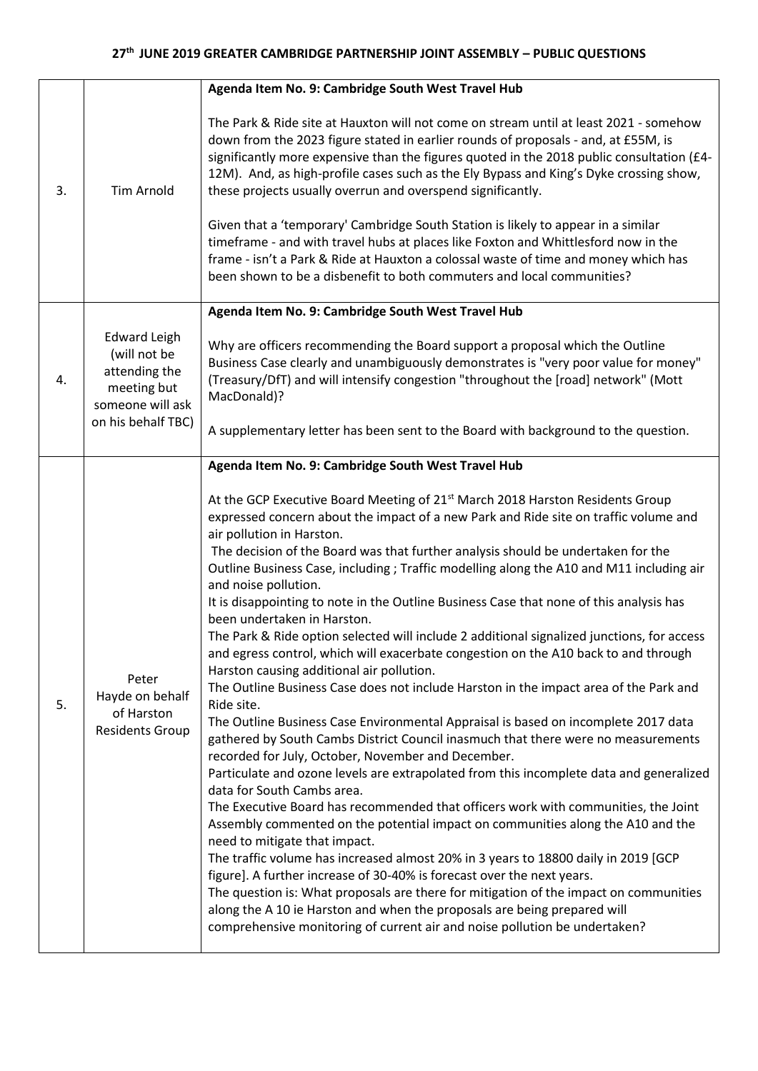|    |                                                                                                               | Agenda Item No. 9: Cambridge South West Travel Hub                                                                                                                                                                                                                                                                                                                                                                                                                                                                                                                                                                                                                                                                                                                                                                                                                                                                                                                                                                                                                                                                                                                                                                                                                                                                                                                                                                                                                                                                                                                                                                                                                                                                                                                                                                                                                                                                                    |
|----|---------------------------------------------------------------------------------------------------------------|---------------------------------------------------------------------------------------------------------------------------------------------------------------------------------------------------------------------------------------------------------------------------------------------------------------------------------------------------------------------------------------------------------------------------------------------------------------------------------------------------------------------------------------------------------------------------------------------------------------------------------------------------------------------------------------------------------------------------------------------------------------------------------------------------------------------------------------------------------------------------------------------------------------------------------------------------------------------------------------------------------------------------------------------------------------------------------------------------------------------------------------------------------------------------------------------------------------------------------------------------------------------------------------------------------------------------------------------------------------------------------------------------------------------------------------------------------------------------------------------------------------------------------------------------------------------------------------------------------------------------------------------------------------------------------------------------------------------------------------------------------------------------------------------------------------------------------------------------------------------------------------------------------------------------------------|
| 3. | <b>Tim Arnold</b>                                                                                             | The Park & Ride site at Hauxton will not come on stream until at least 2021 - somehow<br>down from the 2023 figure stated in earlier rounds of proposals - and, at £55M, is<br>significantly more expensive than the figures quoted in the 2018 public consultation (£4-<br>12M). And, as high-profile cases such as the Ely Bypass and King's Dyke crossing show,<br>these projects usually overrun and overspend significantly.<br>Given that a 'temporary' Cambridge South Station is likely to appear in a similar<br>timeframe - and with travel hubs at places like Foxton and Whittlesford now in the<br>frame - isn't a Park & Ride at Hauxton a colossal waste of time and money which has<br>been shown to be a disbenefit to both commuters and local communities?                                                                                                                                                                                                                                                                                                                                                                                                                                                                                                                                                                                                                                                                                                                                                                                                                                                                                                                                                                                                                                                                                                                                                         |
| 4. | <b>Edward Leigh</b><br>(will not be<br>attending the<br>meeting but<br>someone will ask<br>on his behalf TBC) | Agenda Item No. 9: Cambridge South West Travel Hub                                                                                                                                                                                                                                                                                                                                                                                                                                                                                                                                                                                                                                                                                                                                                                                                                                                                                                                                                                                                                                                                                                                                                                                                                                                                                                                                                                                                                                                                                                                                                                                                                                                                                                                                                                                                                                                                                    |
|    |                                                                                                               | Why are officers recommending the Board support a proposal which the Outline<br>Business Case clearly and unambiguously demonstrates is "very poor value for money"<br>(Treasury/DfT) and will intensify congestion "throughout the [road] network" (Mott<br>MacDonald)?                                                                                                                                                                                                                                                                                                                                                                                                                                                                                                                                                                                                                                                                                                                                                                                                                                                                                                                                                                                                                                                                                                                                                                                                                                                                                                                                                                                                                                                                                                                                                                                                                                                              |
|    |                                                                                                               | A supplementary letter has been sent to the Board with background to the question.                                                                                                                                                                                                                                                                                                                                                                                                                                                                                                                                                                                                                                                                                                                                                                                                                                                                                                                                                                                                                                                                                                                                                                                                                                                                                                                                                                                                                                                                                                                                                                                                                                                                                                                                                                                                                                                    |
| 5. | Peter<br>Hayde on behalf<br>of Harston<br><b>Residents Group</b>                                              | Agenda Item No. 9: Cambridge South West Travel Hub<br>At the GCP Executive Board Meeting of 21 <sup>st</sup> March 2018 Harston Residents Group<br>expressed concern about the impact of a new Park and Ride site on traffic volume and<br>air pollution in Harston.<br>The decision of the Board was that further analysis should be undertaken for the<br>Outline Business Case, including; Traffic modelling along the A10 and M11 including air<br>and noise pollution.<br>It is disappointing to note in the Outline Business Case that none of this analysis has<br>been undertaken in Harston.<br>The Park & Ride option selected will include 2 additional signalized junctions, for access<br>and egress control, which will exacerbate congestion on the A10 back to and through<br>Harston causing additional air pollution.<br>The Outline Business Case does not include Harston in the impact area of the Park and<br>Ride site.<br>The Outline Business Case Environmental Appraisal is based on incomplete 2017 data<br>gathered by South Cambs District Council inasmuch that there were no measurements<br>recorded for July, October, November and December.<br>Particulate and ozone levels are extrapolated from this incomplete data and generalized<br>data for South Cambs area.<br>The Executive Board has recommended that officers work with communities, the Joint<br>Assembly commented on the potential impact on communities along the A10 and the<br>need to mitigate that impact.<br>The traffic volume has increased almost 20% in 3 years to 18800 daily in 2019 [GCP<br>figure]. A further increase of 30-40% is forecast over the next years.<br>The question is: What proposals are there for mitigation of the impact on communities<br>along the A 10 ie Harston and when the proposals are being prepared will<br>comprehensive monitoring of current air and noise pollution be undertaken? |